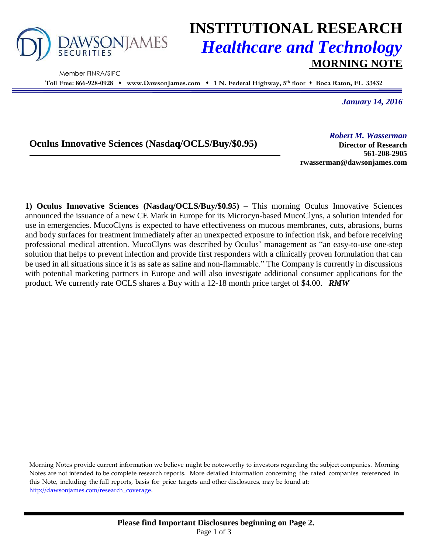

Member FINRA/SIPC

# **INSTITUTIONAL RESEARCH** *Healthcare and Technology* **MORNING NOTE**

**Toll Free: 866-928-0928 www.DawsonJames.com 1 N. Federal Highway, 5 th floor Boca Raton, FL 33432**

*January 14, 2016*

### **Oculus Innovative Sciences (Nasdaq/OCLS/Buy/\$0.95)**

*Robert M. Wasserman*

**Director of Research 561-208-2905 rwasserman@dawsonjames.com**

**1) Oculus Innovative Sciences (Nasdaq/OCLS/Buy/\$0.95) –** This morning Oculus Innovative Sciences announced the issuance of a new CE Mark in Europe for its Microcyn-based MucoClyns, a solution intended for use in emergencies. MucoClyns is expected to have effectiveness on mucous membranes, cuts, abrasions, burns and body surfaces for treatment immediately after an unexpected exposure to infection risk, and before receiving professional medical attention. MucoClyns was described by Oculus' management as "an easy-to-use one-step solution that helps to prevent infection and provide first responders with a clinically proven formulation that can be used in all situations since it is as safe as saline and non-flammable." The Company is currently in discussions with potential marketing partners in Europe and will also investigate additional consumer applications for the product. We currently rate OCLS shares a Buy with a 12-18 month price target of \$4.00. *RMW*

Morning Notes provide current information we believe might be noteworthy to investors regarding the subject companies. Morning Notes are not intended to be complete research reports. More detailed information concerning the rated companies referenced in this Note, including the full reports, basis for price targets and other disclosures, may be found at: [http://dawsonjames.com/research\\_coverage.](http://dawsonjames.com/research_coverage)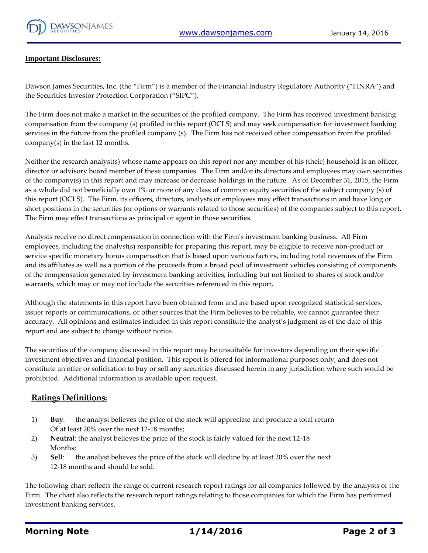

#### **Important Disclosures:**

Dawson James Securities, Inc. (the "Firm") is a member of the Financial Industry Regulatory Authority ("FINRA") and the Securities Investor Protection Corporation ("SIPC").

The Firm does not make a market in the securities of the profiled company. The Firm has received investment banking compensation from the company (s) profiled in this report (OCLS) and may seek compensation for investment banking services in the future from the profiled company (s). The Firm has not received other compensation from the profiled company(s) in the last 12 months.

Neither the research analyst(s) whose name appears on this report nor any member of his (their) household is an officer, director or advisory board member of these companies. The Firm and/or its directors and employees may own securities of the company(s) in this report and may increase or decrease holdings in the future. As of December 31, 2015, the Firm as a whole did not beneficially own 1% or more of any class of common equity securities of the subject company (s) of this report (OCLS). The Firm, its officers, directors, analysts or employees may effect transactions in and have long or short positions in the securities (or options or warrants related to those securities) of the companies subject to this report. The Firm may effect transactions as principal or agent in those securities.

Analysts receive no direct compensation in connection with the Firm's investment banking business. All Firm employees, including the analyst(s) responsible for preparing this report, may be eligible to receive non-product or service specific monetary bonus compensation that is based upon various factors, including total revenues of the Firm and its affiliates as well as a portion of the proceeds from a broad pool of investment vehicles consisting of components of the compensation generated by investment banking activities, including but not limited to shares of stock and/or warrants, which may or may not include the securities referenced in this report.

Although the statements in this report have been obtained from and are based upon recognized statistical services, issuer reports or communications, or other sources that the Firm believes to be reliable, we cannot guarantee their accuracy. All opinions and estimates included in this report constitute the analyst's judgment as of the date of this report and are subject to change without notice.

The securities of the company discussed in this report may be unsuitable for investors depending on their specific investment objectives and financial position. This report is offered for informational purposes only, and does not constitute an offer or solicitation to buy or sell any securities discussed herein in any jurisdiction where such would be prohibited. Additional information is available upon request.

#### **Ratings Definitions:**

- 1) **Buy**: the analyst believes the price of the stock will appreciate and produce a total return Of at least 20% over the next 12-18 months;
- 2) **Neutra**l: the analyst believes the price of the stock is fairly valued for the next 12-18 Months;
- 3) **Sel**l: the analyst believes the price of the stock will decline by at least 20% over the next 12-18 months and should be sold.

The following chart reflects the range of current research report ratings for all companies followed by the analysts of the Firm. The chart also reflects the research report ratings relating to those companies for which the Firm has performed investment banking services.